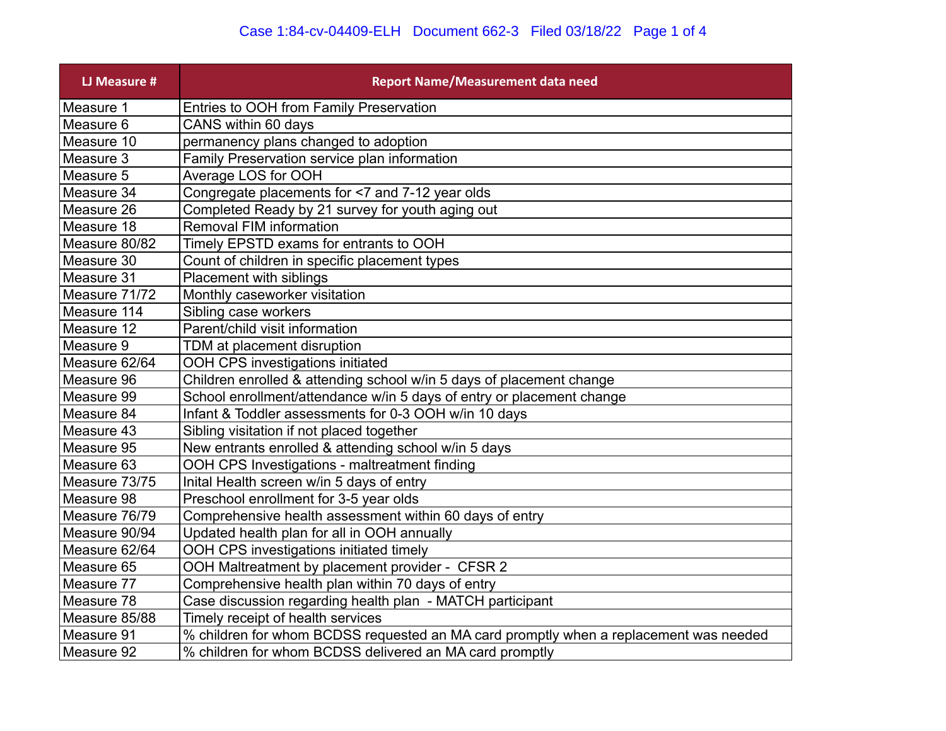## Case 1:84-cv-04409-ELH Document 662-3 Filed 03/18/22 Page 1 of 4

| <b>LJ Measure #</b> | <b>Report Name/Measurement data need</b>                                              |
|---------------------|---------------------------------------------------------------------------------------|
| Measure 1           | Entries to OOH from Family Preservation                                               |
| Measure 6           | CANS within 60 days                                                                   |
| Measure 10          | permanency plans changed to adoption                                                  |
| Measure 3           | Family Preservation service plan information                                          |
| Measure 5           | Average LOS for OOH                                                                   |
| Measure 34          | Congregate placements for <7 and 7-12 year olds                                       |
| Measure 26          | Completed Ready by 21 survey for youth aging out                                      |
| Measure 18          | <b>Removal FIM information</b>                                                        |
| Measure 80/82       | Timely EPSTD exams for entrants to OOH                                                |
| Measure 30          | Count of children in specific placement types                                         |
| Measure 31          | Placement with siblings                                                               |
| Measure 71/72       | Monthly caseworker visitation                                                         |
| Measure 114         | Sibling case workers                                                                  |
| Measure 12          | Parent/child visit information                                                        |
| Measure 9           | TDM at placement disruption                                                           |
| Measure 62/64       | OOH CPS investigations initiated                                                      |
| Measure 96          | Children enrolled & attending school w/in 5 days of placement change                  |
| Measure 99          | School enrollment/attendance w/in 5 days of entry or placement change                 |
| Measure 84          | Infant & Toddler assessments for 0-3 OOH w/in 10 days                                 |
| Measure 43          | Sibling visitation if not placed together                                             |
| Measure 95          | New entrants enrolled & attending school w/in 5 days                                  |
| Measure 63          | OOH CPS Investigations - maltreatment finding                                         |
| Measure 73/75       | Inital Health screen w/in 5 days of entry                                             |
| Measure 98          | Preschool enrollment for 3-5 year olds                                                |
| Measure 76/79       | Comprehensive health assessment within 60 days of entry                               |
| Measure 90/94       | Updated health plan for all in OOH annually                                           |
| Measure 62/64       | OOH CPS investigations initiated timely                                               |
| Measure 65          | OOH Maltreatment by placement provider - CFSR 2                                       |
| Measure 77          | Comprehensive health plan within 70 days of entry                                     |
| Measure 78          | Case discussion regarding health plan - MATCH participant                             |
| Measure 85/88       | Timely receipt of health services                                                     |
| Measure 91          | % children for whom BCDSS requested an MA card promptly when a replacement was needed |
| Measure 92          | % children for whom BCDSS delivered an MA card promptly                               |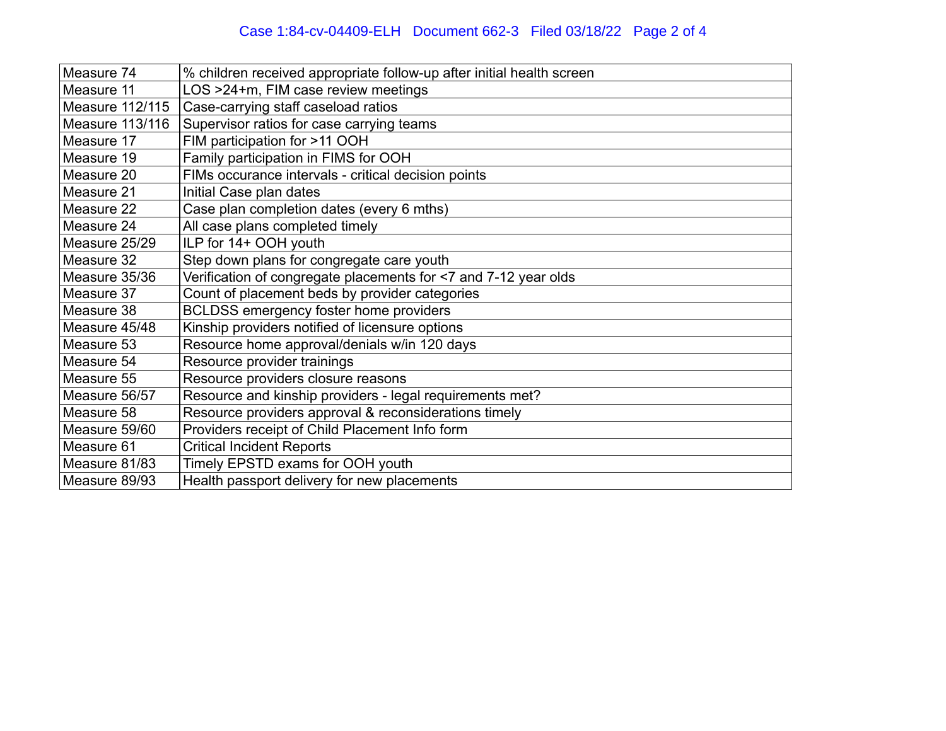| Measure 74      | % children received appropriate follow-up after initial health screen |
|-----------------|-----------------------------------------------------------------------|
| Measure 11      | LOS >24+m, FIM case review meetings                                   |
| Measure 112/115 | Case-carrying staff caseload ratios                                   |
| Measure 113/116 | Supervisor ratios for case carrying teams                             |
| Measure 17      | FIM participation for >11 OOH                                         |
| Measure 19      | Family participation in FIMS for OOH                                  |
| Measure 20      | FIMs occurance intervals - critical decision points                   |
| Measure 21      | Initial Case plan dates                                               |
| Measure 22      | Case plan completion dates (every 6 mths)                             |
| Measure 24      | All case plans completed timely                                       |
| Measure 25/29   | ILP for 14+ OOH youth                                                 |
| Measure 32      | Step down plans for congregate care youth                             |
| Measure 35/36   | Verification of congregate placements for <7 and 7-12 year olds       |
| Measure 37      | Count of placement beds by provider categories                        |
| Measure 38      | BCLDSS emergency foster home providers                                |
| Measure 45/48   | Kinship providers notified of licensure options                       |
| Measure 53      | Resource home approval/denials w/in 120 days                          |
| Measure 54      | Resource provider trainings                                           |
| Measure 55      | Resource providers closure reasons                                    |
| Measure 56/57   | Resource and kinship providers - legal requirements met?              |
| Measure 58      | Resource providers approval & reconsiderations timely                 |
| Measure 59/60   | Providers receipt of Child Placement Info form                        |
| Measure 61      | <b>Critical Incident Reports</b>                                      |
| Measure 81/83   | Timely EPSTD exams for OOH youth                                      |
| Measure 89/93   | Health passport delivery for new placements                           |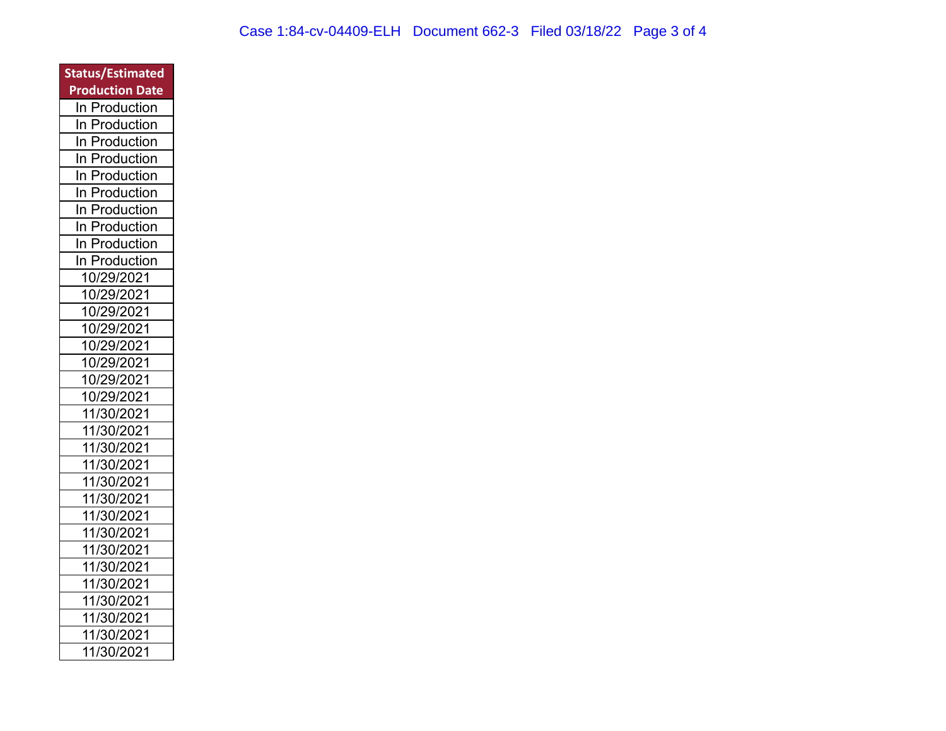| <b>Status/Estimated</b> |
|-------------------------|
| <b>Production Date</b>  |
| In Production           |
| Production<br>ln.       |
| Production<br>ln        |
| Production<br>In        |
| In<br>Production        |
| In<br>Production        |
| In<br>Production        |
| In<br>Production        |
| Production<br>In        |
| In Production           |
| 10/29/2021              |
| 10/29/2021              |
| 10/29/2021              |
| 10/29/2021              |
| 10/29/2021              |
| 10/29/2021              |
| 10/29/2021              |
| 10/29/2021              |
| 11/30/2021              |
| 11/30/2021              |
| 11/30/2021              |
| 11/30/2021              |
| 11/30/2021              |
| 11/30/2021              |
| 11/30/2021              |
| 11/30/2021              |
| 11/30/2021              |
| 11/30/2021              |
| 11/30/2021              |
| 11/30/2021              |
| 11/30/2021              |
| 11/30/2021              |
| 11/30/2021              |